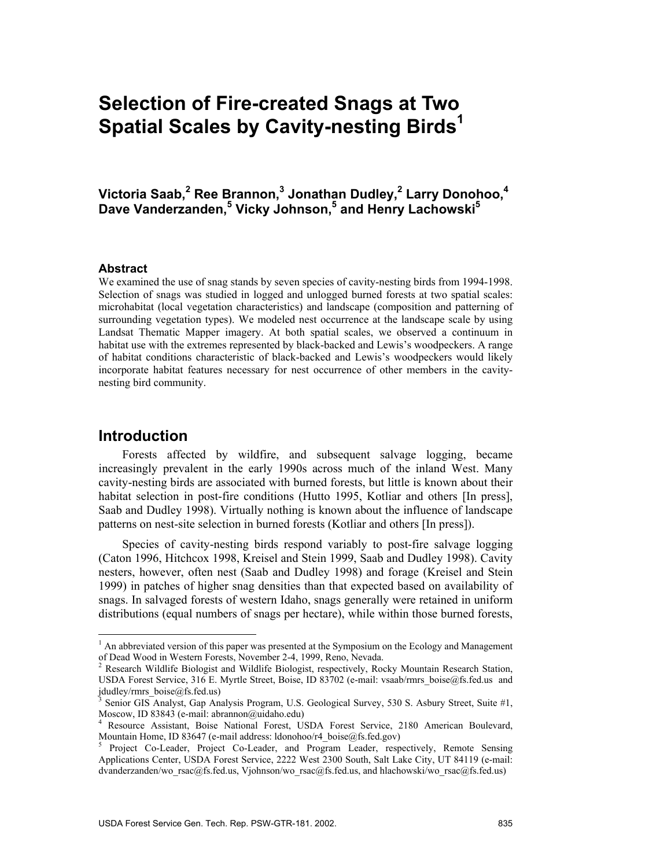# **Selection of Fire-created Snags at Two Spatial Scales by Cavity-nesting Birds<sup>1</sup>**

**Victoria Saab,2 Ree Brannon,3 Jonathan Dudley,2 Larry Donohoo,4 Dave Vanderzanden,<sup>5</sup> Vicky Johnson,5 and Henry Lachowski5**

### **Abstract**

We examined the use of snag stands by seven species of cavity-nesting birds from 1994-1998. Selection of snags was studied in logged and unlogged burned forests at two spatial scales: microhabitat (local vegetation characteristics) and landscape (composition and patterning of surrounding vegetation types). We modeled nest occurrence at the landscape scale by using Landsat Thematic Mapper imagery. At both spatial scales, we observed a continuum in habitat use with the extremes represented by black-backed and Lewis's woodpeckers. A range of habitat conditions characteristic of black-backed and Lewis's woodpeckers would likely incorporate habitat features necessary for nest occurrence of other members in the cavitynesting bird community.

## **Introduction**

 $\overline{a}$ 

Forests affected by wildfire, and subsequent salvage logging, became increasingly prevalent in the early 1990s across much of the inland West. Many cavity-nesting birds are associated with burned forests, but little is known about their habitat selection in post-fire conditions (Hutto 1995, Kotliar and others [In press], Saab and Dudley 1998). Virtually nothing is known about the influence of landscape patterns on nest-site selection in burned forests (Kotliar and others [In press]).

Species of cavity-nesting birds respond variably to post-fire salvage logging (Caton 1996, Hitchcox 1998, Kreisel and Stein 1999, Saab and Dudley 1998). Cavity nesters, however, often nest (Saab and Dudley 1998) and forage (Kreisel and Stein 1999) in patches of higher snag densities than that expected based on availability of snags. In salvaged forests of western Idaho, snags generally were retained in uniform distributions (equal numbers of snags per hectare), while within those burned forests,

<sup>&</sup>lt;sup>1</sup> An abbreviated version of this paper was presented at the Symposium on the Ecology and Management of Dead Wood in Western Forests, November 2-4, 1999, Reno, Nevada.<br><sup>2</sup> Research Wildlife Biologist and Wildlife. Dividende to 200

Research Wildlife Biologist and Wildlife Biologist, respectively, Rocky Mountain Research Station, USDA Forest Service, 316 E. Myrtle Street, Boise, ID 83702 (e-mail: vsaab/rmrs\_boise@fs.fed.us and jdudley/rmrs\_boise@fs.fed.us)<br><sup>3</sup> Senior GIS Analyst, Gap Analysis Program, U.S. Geological Survey, 530 S. Asbury Street, Suite #1,

Moscow, ID 83843 (e-mail: abrannon@uidaho.edu)

<sup>4</sup> Resource Assistant, Boise National Forest, USDA Forest Service, 2180 American Boulevard, Mountain Home, ID 83647 (e-mail address: ldonohoo/r4\_boise@fs.fed.gov)

Project Co-Leader, Project Co-Leader, and Program Leader, respectively, Remote Sensing Applications Center, USDA Forest Service, 2222 West 2300 South, Salt Lake City, UT 84119 (e-mail: dvanderzanden/wo\_rsac@fs.fed.us, Vjohnson/wo\_rsac@fs.fed.us, and hlachowski/wo\_rsac@fs.fed.us)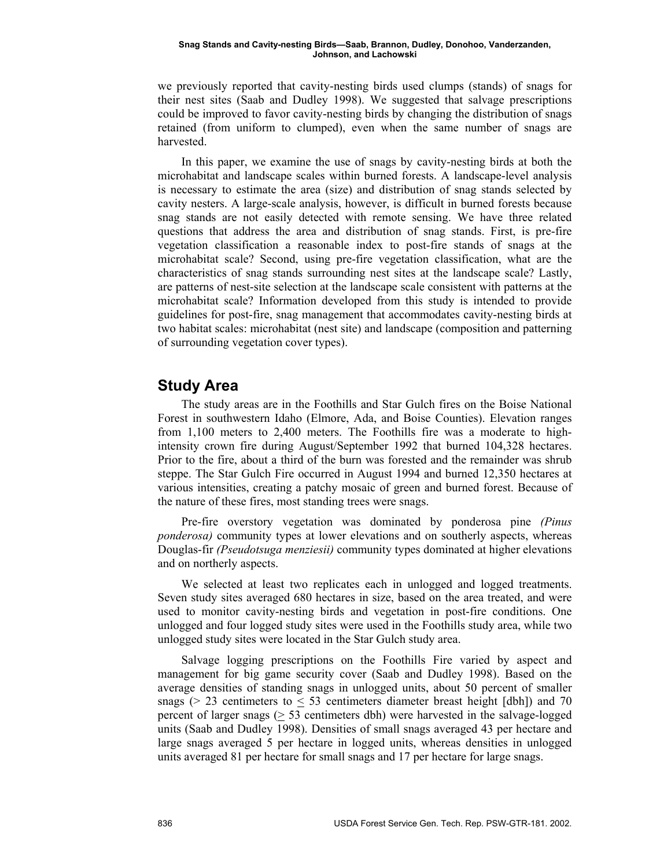we previously reported that cavity-nesting birds used clumps (stands) of snags for their nest sites (Saab and Dudley 1998). We suggested that salvage prescriptions could be improved to favor cavity-nesting birds by changing the distribution of snags retained (from uniform to clumped), even when the same number of snags are harvested.

In this paper, we examine the use of snags by cavity-nesting birds at both the microhabitat and landscape scales within burned forests. A landscape-level analysis is necessary to estimate the area (size) and distribution of snag stands selected by cavity nesters. A large-scale analysis, however, is difficult in burned forests because snag stands are not easily detected with remote sensing. We have three related questions that address the area and distribution of snag stands. First, is pre-fire vegetation classification a reasonable index to post-fire stands of snags at the microhabitat scale? Second, using pre-fire vegetation classification, what are the characteristics of snag stands surrounding nest sites at the landscape scale? Lastly, are patterns of nest-site selection at the landscape scale consistent with patterns at the microhabitat scale? Information developed from this study is intended to provide guidelines for post-fire, snag management that accommodates cavity-nesting birds at two habitat scales: microhabitat (nest site) and landscape (composition and patterning of surrounding vegetation cover types).

# **Study Area**

The study areas are in the Foothills and Star Gulch fires on the Boise National Forest in southwestern Idaho (Elmore, Ada, and Boise Counties). Elevation ranges from 1,100 meters to 2,400 meters. The Foothills fire was a moderate to highintensity crown fire during August/September 1992 that burned 104,328 hectares. Prior to the fire, about a third of the burn was forested and the remainder was shrub steppe. The Star Gulch Fire occurred in August 1994 and burned 12,350 hectares at various intensities, creating a patchy mosaic of green and burned forest. Because of the nature of these fires, most standing trees were snags.

Pre-fire overstory vegetation was dominated by ponderosa pine *(Pinus ponderosa)* community types at lower elevations and on southerly aspects, whereas Douglas-fir *(Pseudotsuga menziesii)* community types dominated at higher elevations and on northerly aspects.

We selected at least two replicates each in unlogged and logged treatments. Seven study sites averaged 680 hectares in size, based on the area treated, and were used to monitor cavity-nesting birds and vegetation in post-fire conditions. One unlogged and four logged study sites were used in the Foothills study area, while two unlogged study sites were located in the Star Gulch study area.

Salvage logging prescriptions on the Foothills Fire varied by aspect and management for big game security cover (Saab and Dudley 1998). Based on the average densities of standing snags in unlogged units, about 50 percent of smaller snags ( $> 23$  centimeters to  $\leq 53$  centimeters diameter breast height [dbh]) and 70 percent of larger snags ( $\geq$  53 centimeters dbh) were harvested in the salvage-logged units (Saab and Dudley 1998). Densities of small snags averaged 43 per hectare and large snags averaged 5 per hectare in logged units, whereas densities in unlogged units averaged 81 per hectare for small snags and 17 per hectare for large snags.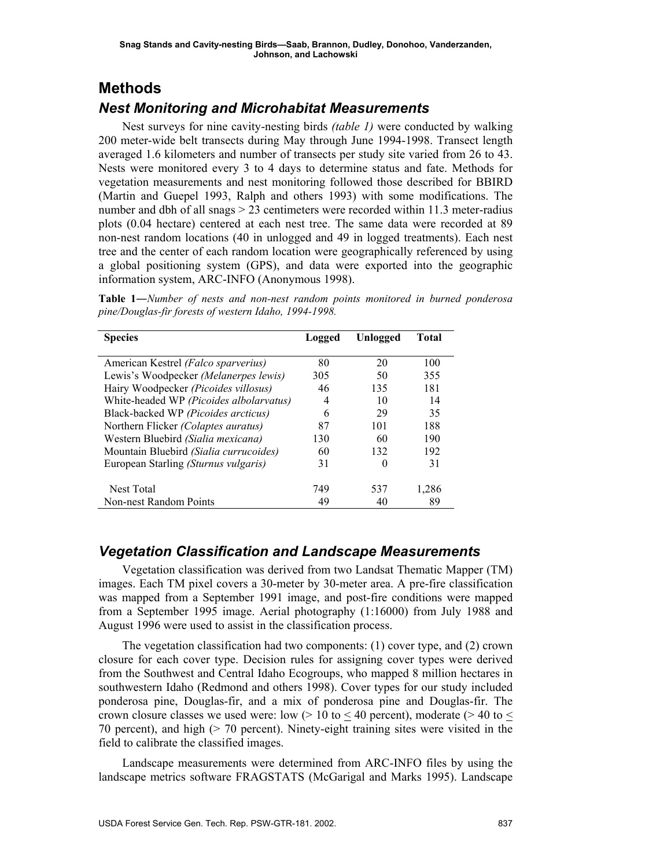# **Methods**

# *Nest Monitoring and Microhabitat Measurements*

Nest surveys for nine cavity-nesting birds *(table 1)* were conducted by walking 200 meter-wide belt transects during May through June 1994-1998. Transect length averaged 1.6 kilometers and number of transects per study site varied from 26 to 43. Nests were monitored every 3 to 4 days to determine status and fate. Methods for vegetation measurements and nest monitoring followed those described for BBIRD (Martin and Guepel 1993, Ralph and others 1993) with some modifications. The number and dbh of all snags > 23 centimeters were recorded within 11.3 meter-radius plots (0.04 hectare) centered at each nest tree. The same data were recorded at 89 non-nest random locations (40 in unlogged and 49 in logged treatments). Each nest tree and the center of each random location were geographically referenced by using a global positioning system (GPS), and data were exported into the geographic information system, ARC-INFO (Anonymous 1998).

**Table 1**―*Number of nests and non-nest random points monitored in burned ponderosa pine/Douglas-fir forests of western Idaho, 1994-1998.* 

| <b>Species</b>                             | Unlogged<br>Logged |          | Total |
|--------------------------------------------|--------------------|----------|-------|
|                                            |                    |          |       |
| American Kestrel <i>(Falco sparverius)</i> | 80                 | 20       | 100   |
| Lewis's Woodpecker (Melanerpes lewis)      | 305                | 50       | 355   |
| Hairy Woodpecker (Picoides villosus)       | 46                 | 135      | 181   |
| White-headed WP (Picoides albolarvatus)    | 4                  | 10       | 14    |
| Black-backed WP (Picoides arcticus)        | 6                  | 29       | 35    |
| Northern Flicker (Colaptes auratus)        | 87                 | 101      | 188   |
| Western Bluebird (Sialia mexicana)         | 130                | 60       | 190   |
| Mountain Bluebird (Sialia currucoides)     | 60                 | 132      | 192   |
| European Starling (Sturnus vulgaris)       | 31                 | $\theta$ | 31    |
|                                            |                    |          |       |
| Nest Total                                 | 749                | 537      | 1,286 |
| Non-nest Random Points                     | 49                 |          | 89    |

# *Vegetation Classification and Landscape Measurements*

Vegetation classification was derived from two Landsat Thematic Mapper (TM) images. Each TM pixel covers a 30-meter by 30-meter area. A pre-fire classification was mapped from a September 1991 image, and post-fire conditions were mapped from a September 1995 image. Aerial photography (1:16000) from July 1988 and August 1996 were used to assist in the classification process.

The vegetation classification had two components: (1) cover type, and (2) crown closure for each cover type. Decision rules for assigning cover types were derived from the Southwest and Central Idaho Ecogroups, who mapped 8 million hectares in southwestern Idaho (Redmond and others 1998). Cover types for our study included ponderosa pine, Douglas-fir, and a mix of ponderosa pine and Douglas-fir. The crown closure classes we used were: low ( $> 10$  to  $\leq 40$  percent), moderate ( $> 40$  to  $\leq$ 70 percent), and high (> 70 percent). Ninety-eight training sites were visited in the field to calibrate the classified images.

Landscape measurements were determined from ARC-INFO files by using the landscape metrics software FRAGSTATS (McGarigal and Marks 1995). Landscape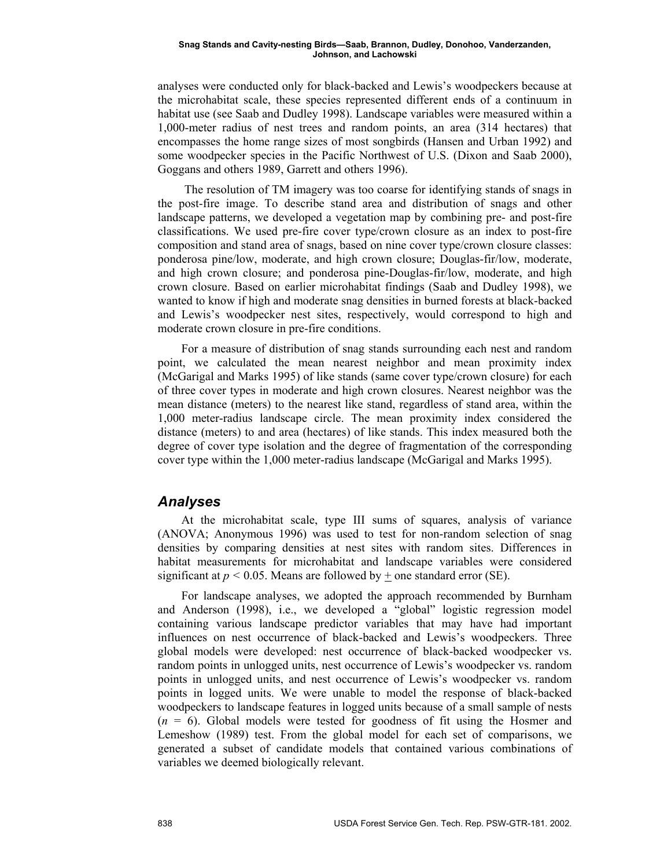analyses were conducted only for black-backed and Lewis's woodpeckers because at the microhabitat scale, these species represented different ends of a continuum in habitat use (see Saab and Dudley 1998). Landscape variables were measured within a 1,000-meter radius of nest trees and random points, an area (314 hectares) that encompasses the home range sizes of most songbirds (Hansen and Urban 1992) and some woodpecker species in the Pacific Northwest of U.S. (Dixon and Saab 2000), Goggans and others 1989, Garrett and others 1996).

 The resolution of TM imagery was too coarse for identifying stands of snags in the post-fire image. To describe stand area and distribution of snags and other landscape patterns, we developed a vegetation map by combining pre- and post-fire classifications. We used pre-fire cover type/crown closure as an index to post-fire composition and stand area of snags, based on nine cover type/crown closure classes: ponderosa pine/low, moderate, and high crown closure; Douglas-fir/low, moderate, and high crown closure; and ponderosa pine-Douglas-fir/low, moderate, and high crown closure. Based on earlier microhabitat findings (Saab and Dudley 1998), we wanted to know if high and moderate snag densities in burned forests at black-backed and Lewis's woodpecker nest sites, respectively, would correspond to high and moderate crown closure in pre-fire conditions.

For a measure of distribution of snag stands surrounding each nest and random point, we calculated the mean nearest neighbor and mean proximity index (McGarigal and Marks 1995) of like stands (same cover type/crown closure) for each of three cover types in moderate and high crown closures. Nearest neighbor was the mean distance (meters) to the nearest like stand, regardless of stand area, within the 1,000 meter-radius landscape circle. The mean proximity index considered the distance (meters) to and area (hectares) of like stands. This index measured both the degree of cover type isolation and the degree of fragmentation of the corresponding cover type within the 1,000 meter-radius landscape (McGarigal and Marks 1995).

### *Analyses*

At the microhabitat scale, type III sums of squares, analysis of variance (ANOVA; Anonymous 1996) was used to test for non-random selection of snag densities by comparing densities at nest sites with random sites. Differences in habitat measurements for microhabitat and landscape variables were considered significant at  $p < 0.05$ . Means are followed by  $+$  one standard error (SE).

For landscape analyses, we adopted the approach recommended by Burnham and Anderson (1998), i.e., we developed a "global" logistic regression model containing various landscape predictor variables that may have had important influences on nest occurrence of black-backed and Lewis's woodpeckers. Three global models were developed: nest occurrence of black-backed woodpecker vs. random points in unlogged units, nest occurrence of Lewis's woodpecker vs. random points in unlogged units, and nest occurrence of Lewis's woodpecker vs. random points in logged units. We were unable to model the response of black-backed woodpeckers to landscape features in logged units because of a small sample of nests (*n* = 6). Global models were tested for goodness of fit using the Hosmer and Lemeshow (1989) test. From the global model for each set of comparisons, we generated a subset of candidate models that contained various combinations of variables we deemed biologically relevant.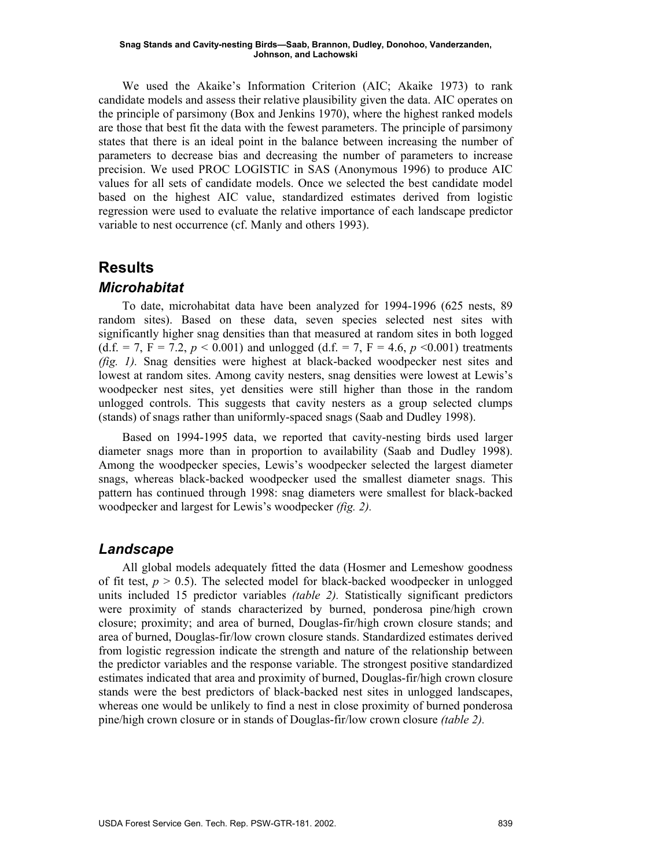We used the Akaike's Information Criterion (AIC; Akaike 1973) to rank candidate models and assess their relative plausibility given the data. AIC operates on the principle of parsimony (Box and Jenkins 1970), where the highest ranked models are those that best fit the data with the fewest parameters. The principle of parsimony states that there is an ideal point in the balance between increasing the number of parameters to decrease bias and decreasing the number of parameters to increase precision. We used PROC LOGISTIC in SAS (Anonymous 1996) to produce AIC values for all sets of candidate models. Once we selected the best candidate model based on the highest AIC value, standardized estimates derived from logistic regression were used to evaluate the relative importance of each landscape predictor variable to nest occurrence (cf. Manly and others 1993).

# **Results**

### *Microhabitat*

To date, microhabitat data have been analyzed for 1994-1996 (625 nests, 89 random sites). Based on these data, seven species selected nest sites with significantly higher snag densities than that measured at random sites in both logged (d.f. = 7, F = 7.2,  $p < 0.001$ ) and unlogged (d.f. = 7, F = 4.6,  $p < 0.001$ ) treatments *(fig. 1).* Snag densities were highest at black-backed woodpecker nest sites and lowest at random sites. Among cavity nesters, snag densities were lowest at Lewis's woodpecker nest sites, yet densities were still higher than those in the random unlogged controls. This suggests that cavity nesters as a group selected clumps (stands) of snags rather than uniformly-spaced snags (Saab and Dudley 1998).

Based on 1994-1995 data, we reported that cavity-nesting birds used larger diameter snags more than in proportion to availability (Saab and Dudley 1998). Among the woodpecker species, Lewis's woodpecker selected the largest diameter snags, whereas black-backed woodpecker used the smallest diameter snags. This pattern has continued through 1998: snag diameters were smallest for black-backed woodpecker and largest for Lewis's woodpecker *(fig. 2).* 

### *Landscape*

All global models adequately fitted the data (Hosmer and Lemeshow goodness of fit test,  $p > 0.5$ ). The selected model for black-backed woodpecker in unlogged units included 15 predictor variables *(table 2).* Statistically significant predictors were proximity of stands characterized by burned, ponderosa pine/high crown closure; proximity; and area of burned, Douglas-fir/high crown closure stands; and area of burned, Douglas-fir/low crown closure stands. Standardized estimates derived from logistic regression indicate the strength and nature of the relationship between the predictor variables and the response variable. The strongest positive standardized estimates indicated that area and proximity of burned, Douglas-fir/high crown closure stands were the best predictors of black-backed nest sites in unlogged landscapes, whereas one would be unlikely to find a nest in close proximity of burned ponderosa pine/high crown closure or in stands of Douglas-fir/low crown closure *(table 2).*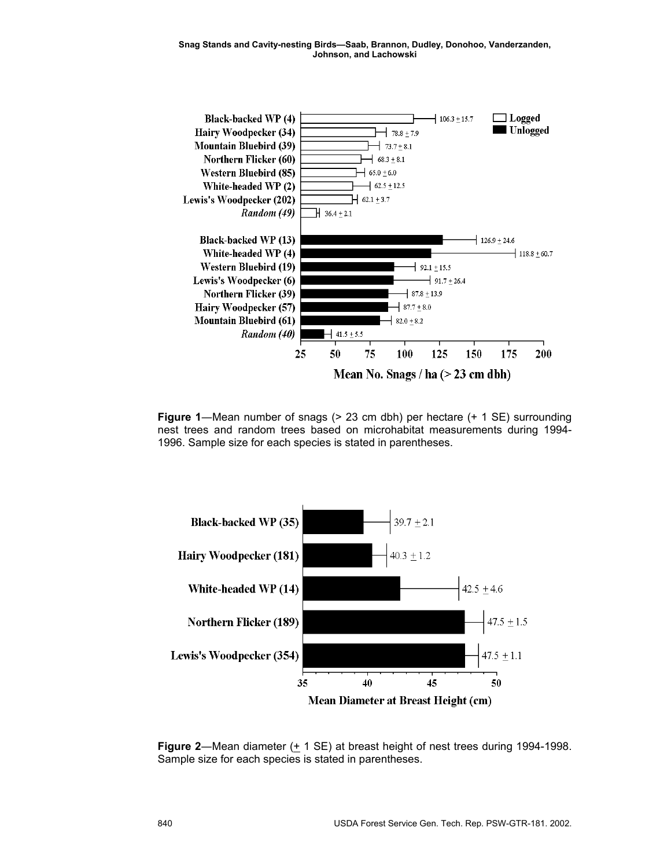

**Figure 1—Mean number of snags (> 23 cm dbh) per hectare (+ 1 SE) surrounding** nest trees and random trees based on microhabitat measurements during 1994- 1996. Sample size for each species is stated in parentheses.



**Figure 2**—Mean diameter  $(\pm 1 \text{ SE})$  at breast height of nest trees during 1994-1998. Sample size for each species is stated in parentheses.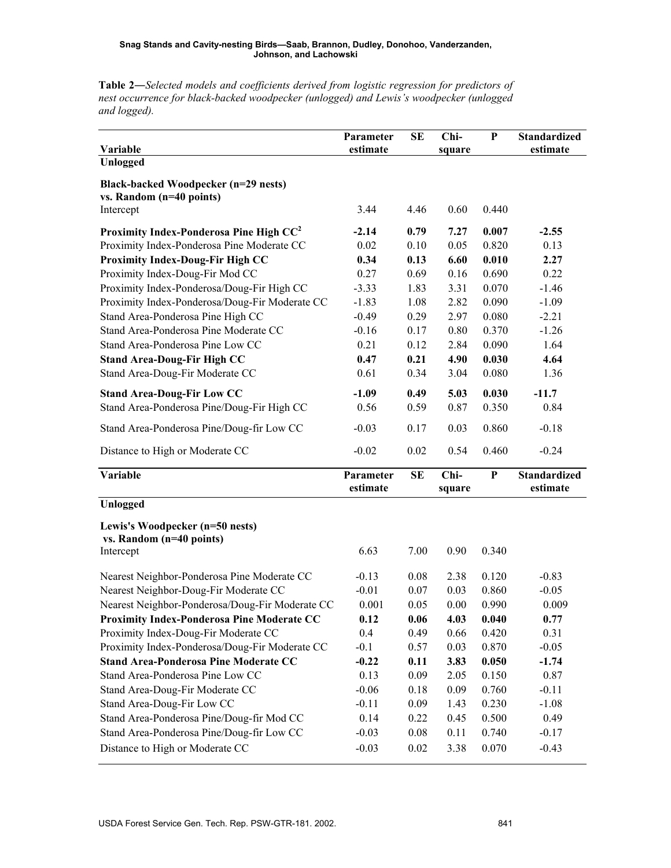*and logged).*  **Variable Parameter estimate SE Chisquare P Standardized estimate Unlogged Black-backed Woodpecker (n=29 nests) vs. Random (n=40 points)** Intercept 3.44 4.46 0.60 0.440 **Proximity Index-Ponderosa Pine High CC2 -2.14 0.79 7.27 0.007 -2.55** Proximity Index-Ponderosa Pine Moderate CC  $\qquad 0.02 \qquad 0.10 \qquad 0.05 \qquad 0.820 \qquad 0.13$ **Proximity Index-Doug-Fir High CC 0.34 0.13 6.60 0.010 2.27** Proximity Index-Doug-Fir Mod CC 0.27 0.69 0.16 0.690 0.22 Proximity Index-Ponderosa/Doug-Fir High CC  $-3.33$  1.83 3.31 0.070 -1.46 Proximity Index-Ponderosa/Doug-Fir Moderate CC -1.83 1.08 2.82 0.090 -1.09 Stand Area-Ponderosa Pine High CC  $-0.49$  0.29 2.97 0.080 -2.21 Stand Area-Ponderosa Pine Moderate CC  $\qquad -0.16$  0.17 0.80 0.370 -1.26 Stand Area-Ponderosa Pine Low CC  $\qquad 0.21 \qquad 0.12 \qquad 2.84 \qquad 0.090 \qquad 1.64$ **Stand Area-Doug-Fir High CC 0.47 0.21 4.90 0.030 4.64** Stand Area-Doug-Fir Moderate CC 0.61 0.34 3.04 0.080 1.36 **Stand Area-Doug-Fir Low CC -1.09 0.49 5.03 0.030 -11.7** Stand Area-Ponderosa Pine/Doug-Fir High CC  $0.56$  0.59 0.87 0.350 0.84 Stand Area-Ponderosa Pine/Doug-fir Low CC  $\qquad -0.03$   $0.17$   $0.03$   $0.860$   $-0.18$ Distance to High or Moderate CC  $-0.02$   $0.02$   $0.54$   $0.460$   $-0.24$ **Variable Parameter estimate SE Chisquare P Standardized estimate Unlogged Lewis's Woodpecker (n=50 nests) vs. Random (n=40 points)** Intercept 6.63 7.00 0.90 0.340 Nearest Neighbor-Ponderosa Pine Moderate CC  $-0.13$  0.08 2.38 0.120 -0.83 Nearest Neighbor-Doug-Fir Moderate CC  $-0.01$  0.07 0.03 0.860 -0.05 Nearest Neighbor-Ponderosa/Doug-Fir Moderate CC  $0.001$  0.05 0.00 0.990 0.009 **Proximity Index-Ponderosa Pine Moderate CC 0.12 0.06 4.03 0.040 0.77** Proximity Index-Doug-Fir Moderate CC 0.49 0.49 0.66 0.420 0.31 Proximity Index-Ponderosa/Doug-Fir Moderate CC  $-0.1$  0.57 0.03 0.870  $-0.05$ **Stand Area-Ponderosa Pine Moderate CC -0.22 0.11 3.83 0.050 -1.74** Stand Area-Ponderosa Pine Low CC 0.13 0.09 2.05 0.150 0.87 Stand Area-Doug-Fir Moderate CC  $\qquad -0.06$  0.18 0.09 0.760 -0.11 Stand Area-Doug-Fir Low CC -0.11 0.09 1.43 0.230 -1.08 Stand Area-Ponderosa Pine/Doug-fir Mod CC  $0.14$  0.22 0.45 0.500 0.49 Stand Area-Ponderosa Pine/Doug-fir Low CC  $\qquad -0.03$  0.08 0.11 0.740  $-0.17$ Distance to High or Moderate CC  $-0.03$  0.02 3.38 0.070  $-0.43$ 

**Table 2―***Selected models and coefficients derived from logistic regression for predictors of nest occurrence for black-backed woodpecker (unlogged) and Lewis's woodpecker (unlogged*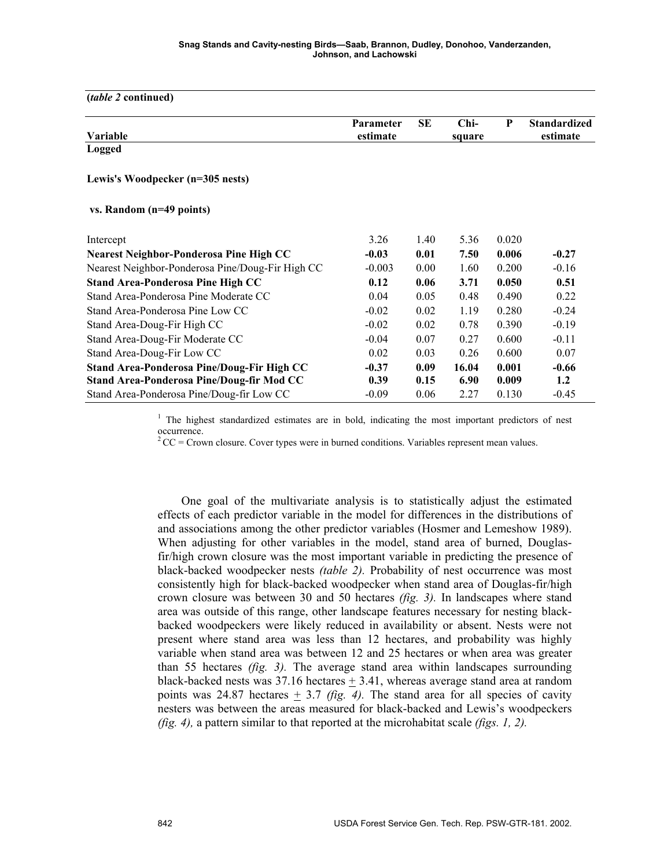| <i>(table 2 continued)</i>                                                              |                       |              |                  |                |                                 |
|-----------------------------------------------------------------------------------------|-----------------------|--------------|------------------|----------------|---------------------------------|
| Variable                                                                                | Parameter<br>estimate | <b>SE</b>    | $Chi-$<br>square | P              | <b>Standardized</b><br>estimate |
| <b>Logged</b>                                                                           |                       |              |                  |                |                                 |
| Lewis's Woodpecker (n=305 nests)                                                        |                       |              |                  |                |                                 |
| vs. Random (n=49 points)                                                                |                       |              |                  |                |                                 |
| Intercept                                                                               | 3.26                  | 1.40         | 5.36             | 0.020          |                                 |
| Nearest Neighbor-Ponderosa Pine High CC                                                 | $-0.03$               | 0.01         | 7.50             | 0.006          | $-0.27$                         |
| Nearest Neighbor-Ponderosa Pine/Doug-Fir High CC                                        | $-0.003$              | 0.00         | 1.60             | 0.200          | $-0.16$                         |
| <b>Stand Area-Ponderosa Pine High CC</b>                                                | 0.12                  | 0.06         | 3.71             | 0.050          | 0.51                            |
| Stand Area-Ponderosa Pine Moderate CC                                                   | 0.04                  | 0.05         | 0.48             | 0.490          | 0.22                            |
| Stand Area-Ponderosa Pine Low CC                                                        | $-0.02$               | 0.02         | 1.19             | 0.280          | $-0.24$                         |
| Stand Area-Doug-Fir High CC                                                             | $-0.02$               | 0.02         | 0.78             | 0.390          | $-0.19$                         |
| Stand Area-Doug-Fir Moderate CC                                                         | $-0.04$               | 0.07         | 0.27             | 0.600          | $-0.11$                         |
| Stand Area-Doug-Fir Low CC                                                              | 0.02                  | 0.03         | 0.26             | 0.600          | 0.07                            |
| Stand Area-Ponderosa Pine/Doug-Fir High CC<br>Stand Area-Ponderosa Pine/Doug-fir Mod CC | $-0.37$<br>0.39       | 0.09<br>0.15 | 16.04<br>6.90    | 0.001<br>0.009 | $-0.66$<br>1.2                  |
| Stand Area-Ponderosa Pine/Doug-fir Low CC                                               | $-0.09$               | 0.06         | 2.27             | 0.130          | $-0.45$                         |

<sup>1</sup> The highest standardized estimates are in bold, indicating the most important predictors of nest occurrence.

 $2^2$ CC = Crown closure. Cover types were in burned conditions. Variables represent mean values.

One goal of the multivariate analysis is to statistically adjust the estimated effects of each predictor variable in the model for differences in the distributions of and associations among the other predictor variables (Hosmer and Lemeshow 1989). When adjusting for other variables in the model, stand area of burned, Douglasfir/high crown closure was the most important variable in predicting the presence of black-backed woodpecker nests *(table 2).* Probability of nest occurrence was most consistently high for black-backed woodpecker when stand area of Douglas-fir/high crown closure was between 30 and 50 hectares *(fig. 3).* In landscapes where stand area was outside of this range, other landscape features necessary for nesting blackbacked woodpeckers were likely reduced in availability or absent. Nests were not present where stand area was less than 12 hectares, and probability was highly variable when stand area was between 12 and 25 hectares or when area was greater than 55 hectares *(fig. 3).* The average stand area within landscapes surrounding black-backed nests was  $37.16$  hectares  $\pm 3.41$ , whereas average stand area at random points was 24.87 hectares  $\pm$  3.7 *(fig. 4).* The stand area for all species of cavity nesters was between the areas measured for black-backed and Lewis's woodpeckers *(fig. 4),* a pattern similar to that reported at the microhabitat scale *(figs. 1, 2).*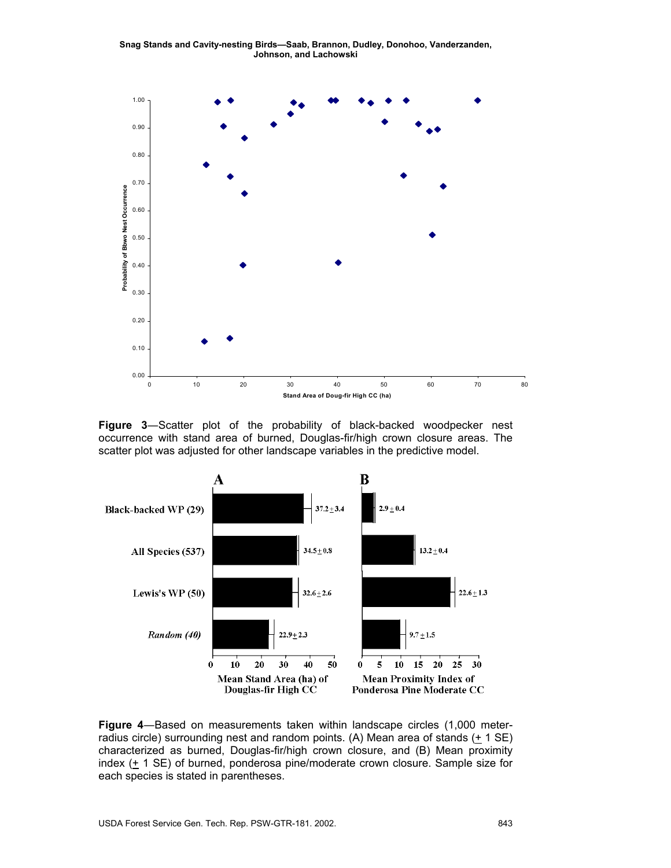

**Figure 3**―Scatter plot of the probability of black-backed woodpecker nest occurrence with stand area of burned, Douglas-fir/high crown closure areas. The scatter plot was adjusted for other landscape variables in the predictive model.



**Figure 4**―Based on measurements taken within landscape circles (1,000 meterradius circle) surrounding nest and random points. (A) Mean area of stands (+ 1 SE) characterized as burned, Douglas-fir/high crown closure, and (B) Mean proximity index (+ 1 SE) of burned, ponderosa pine/moderate crown closure. Sample size for each species is stated in parentheses.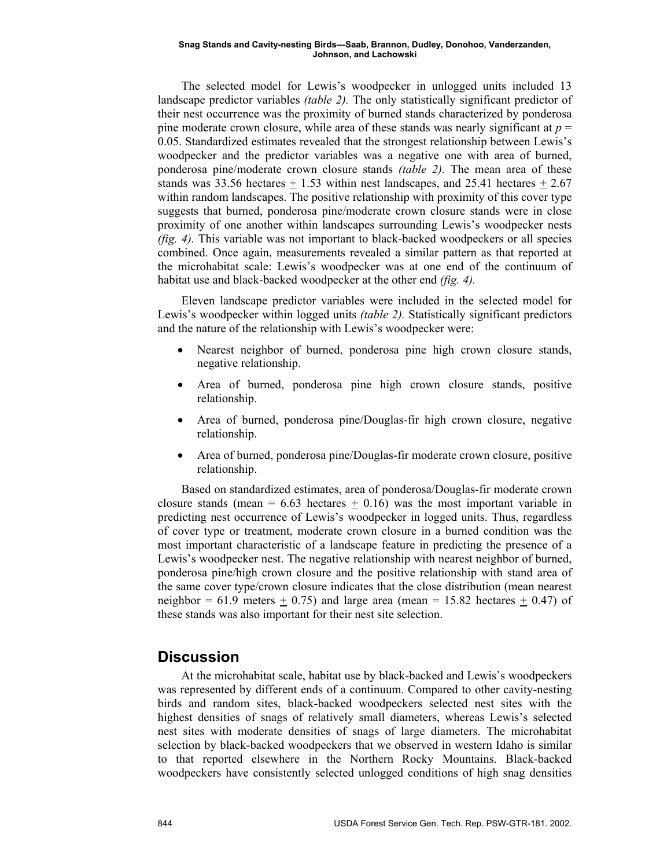The selected model for Lewis's woodpecker in unlogged units included 13 landscape predictor variables *(table 2).* The only statistically significant predictor of their nest occurrence was the proximity of burned stands characterized by ponderosa pine moderate crown closure, while area of these stands was nearly significant at  $p =$ 0.05. Standardized estimates revealed that the strongest relationship between Lewis's woodpecker and the predictor variables was a negative one with area of burned, ponderosa pine/moderate crown closure stands *(table 2).* The mean area of these stands was 33.56 hectares  $+1.53$  within nest landscapes, and 25.41 hectares  $+2.67$ within random landscapes. The positive relationship with proximity of this cover type suggests that burned, ponderosa pine/moderate crown closure stands were in close proximity of one another within landscapes surrounding Lewis's woodpecker nests *(fig. 4).* This variable was not important to black-backed woodpeckers or all species combined. Once again, measurements revealed a similar pattern as that reported at the microhabitat scale: Lewis's woodpecker was at one end of the continuum of habitat use and black-backed woodpecker at the other end *(fig. 4).*

Eleven landscape predictor variables were included in the selected model for Lewis's woodpecker within logged units *(table 2).* Statistically significant predictors and the nature of the relationship with Lewis's woodpecker were:

- Nearest neighbor of burned, ponderosa pine high crown closure stands, negative relationship.
- Area of burned, ponderosa pine high crown closure stands, positive relationship.
- Area of burned, ponderosa pine/Douglas-fir high crown closure, negative relationship.
- Area of burned, ponderosa pine/Douglas-fir moderate crown closure, positive relationship.

Based on standardized estimates, area of ponderosa/Douglas-fir moderate crown closure stands (mean =  $6.63$  hectares  $\pm$  0.16) was the most important variable in predicting nest occurrence of Lewis's woodpecker in logged units. Thus, regardless of cover type or treatment, moderate crown closure in a burned condition was the most important characteristic of a landscape feature in predicting the presence of a Lewis's woodpecker nest. The negative relationship with nearest neighbor of burned, ponderosa pine/high crown closure and the positive relationship with stand area of the same cover type/crown closure indicates that the close distribution (mean nearest neighbor = 61.9 meters  $\pm$  0.75) and large area (mean = 15.82 hectares  $\pm$  0.47) of these stands was also important for their nest site selection.

### **Discussion**

At the microhabitat scale, habitat use by black-backed and Lewis's woodpeckers was represented by different ends of a continuum. Compared to other cavity-nesting birds and random sites, black-backed woodpeckers selected nest sites with the highest densities of snags of relatively small diameters, whereas Lewis's selected nest sites with moderate densities of snags of large diameters. The microhabitat selection by black-backed woodpeckers that we observed in western Idaho is similar to that reported elsewhere in the Northern Rocky Mountains. Black-backed woodpeckers have consistently selected unlogged conditions of high snag densities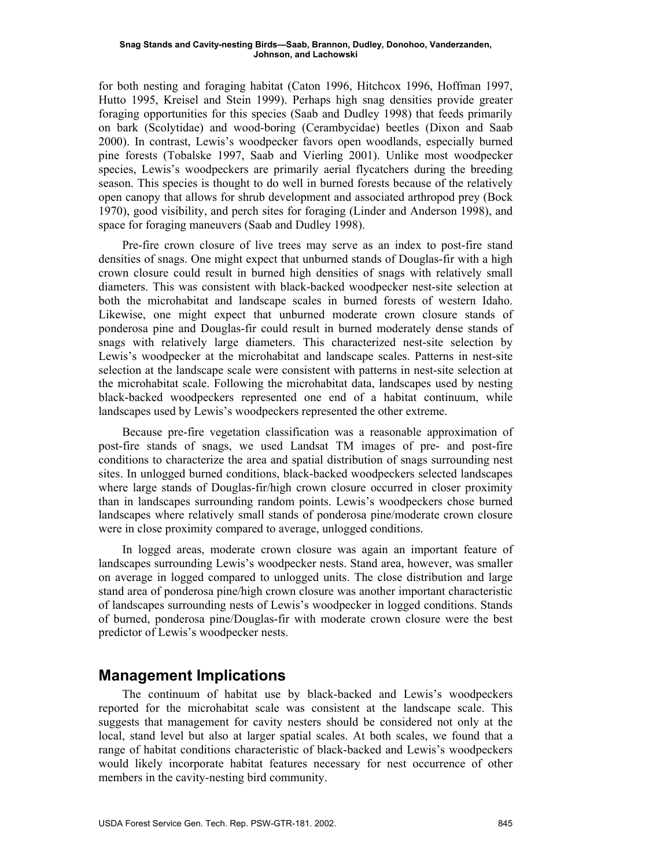for both nesting and foraging habitat (Caton 1996, Hitchcox 1996, Hoffman 1997, Hutto 1995, Kreisel and Stein 1999). Perhaps high snag densities provide greater foraging opportunities for this species (Saab and Dudley 1998) that feeds primarily on bark (Scolytidae) and wood-boring (Cerambycidae) beetles (Dixon and Saab 2000). In contrast, Lewis's woodpecker favors open woodlands, especially burned pine forests (Tobalske 1997, Saab and Vierling 2001). Unlike most woodpecker species, Lewis's woodpeckers are primarily aerial flycatchers during the breeding season. This species is thought to do well in burned forests because of the relatively open canopy that allows for shrub development and associated arthropod prey (Bock 1970), good visibility, and perch sites for foraging (Linder and Anderson 1998), and space for foraging maneuvers (Saab and Dudley 1998).

Pre-fire crown closure of live trees may serve as an index to post-fire stand densities of snags. One might expect that unburned stands of Douglas-fir with a high crown closure could result in burned high densities of snags with relatively small diameters. This was consistent with black-backed woodpecker nest-site selection at both the microhabitat and landscape scales in burned forests of western Idaho. Likewise, one might expect that unburned moderate crown closure stands of ponderosa pine and Douglas-fir could result in burned moderately dense stands of snags with relatively large diameters. This characterized nest-site selection by Lewis's woodpecker at the microhabitat and landscape scales. Patterns in nest-site selection at the landscape scale were consistent with patterns in nest-site selection at the microhabitat scale. Following the microhabitat data, landscapes used by nesting black-backed woodpeckers represented one end of a habitat continuum, while landscapes used by Lewis's woodpeckers represented the other extreme.

Because pre-fire vegetation classification was a reasonable approximation of post-fire stands of snags, we used Landsat TM images of pre- and post-fire conditions to characterize the area and spatial distribution of snags surrounding nest sites. In unlogged burned conditions, black-backed woodpeckers selected landscapes where large stands of Douglas-fir/high crown closure occurred in closer proximity than in landscapes surrounding random points. Lewis's woodpeckers chose burned landscapes where relatively small stands of ponderosa pine/moderate crown closure were in close proximity compared to average, unlogged conditions.

In logged areas, moderate crown closure was again an important feature of landscapes surrounding Lewis's woodpecker nests. Stand area, however, was smaller on average in logged compared to unlogged units. The close distribution and large stand area of ponderosa pine/high crown closure was another important characteristic of landscapes surrounding nests of Lewis's woodpecker in logged conditions. Stands of burned, ponderosa pine/Douglas-fir with moderate crown closure were the best predictor of Lewis's woodpecker nests.

# **Management Implications**

The continuum of habitat use by black-backed and Lewis's woodpeckers reported for the microhabitat scale was consistent at the landscape scale. This suggests that management for cavity nesters should be considered not only at the local, stand level but also at larger spatial scales. At both scales, we found that a range of habitat conditions characteristic of black-backed and Lewis's woodpeckers would likely incorporate habitat features necessary for nest occurrence of other members in the cavity-nesting bird community.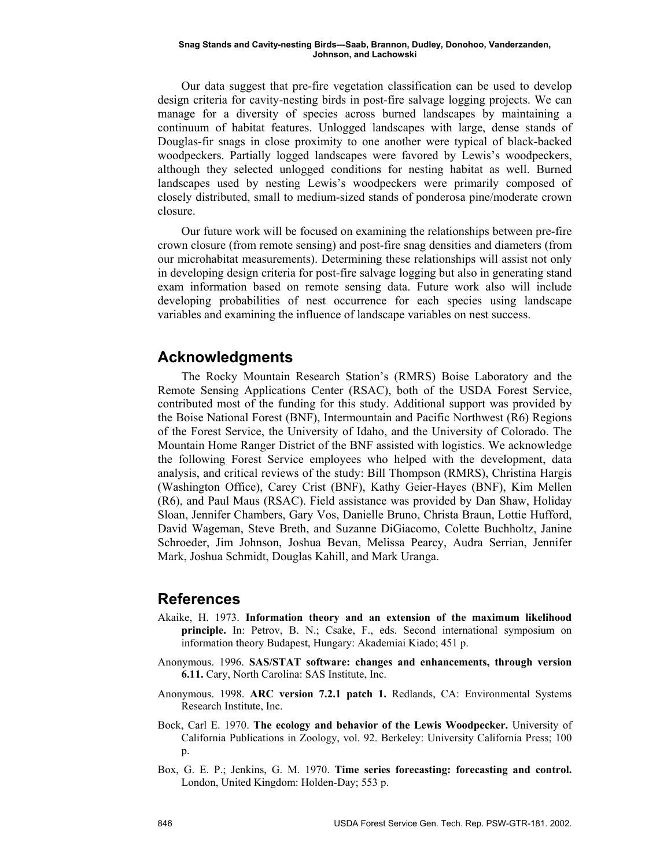Our data suggest that pre-fire vegetation classification can be used to develop design criteria for cavity-nesting birds in post-fire salvage logging projects. We can manage for a diversity of species across burned landscapes by maintaining a continuum of habitat features. Unlogged landscapes with large, dense stands of Douglas-fir snags in close proximity to one another were typical of black-backed woodpeckers. Partially logged landscapes were favored by Lewis's woodpeckers, although they selected unlogged conditions for nesting habitat as well. Burned landscapes used by nesting Lewis's woodpeckers were primarily composed of closely distributed, small to medium-sized stands of ponderosa pine/moderate crown closure.

Our future work will be focused on examining the relationships between pre-fire crown closure (from remote sensing) and post-fire snag densities and diameters (from our microhabitat measurements). Determining these relationships will assist not only in developing design criteria for post-fire salvage logging but also in generating stand exam information based on remote sensing data. Future work also will include developing probabilities of nest occurrence for each species using landscape variables and examining the influence of landscape variables on nest success.

# **Acknowledgments**

The Rocky Mountain Research Station's (RMRS) Boise Laboratory and the Remote Sensing Applications Center (RSAC), both of the USDA Forest Service, contributed most of the funding for this study. Additional support was provided by the Boise National Forest (BNF), Intermountain and Pacific Northwest (R6) Regions of the Forest Service, the University of Idaho, and the University of Colorado. The Mountain Home Ranger District of the BNF assisted with logistics. We acknowledge the following Forest Service employees who helped with the development, data analysis, and critical reviews of the study: Bill Thompson (RMRS), Christina Hargis (Washington Office), Carey Crist (BNF), Kathy Geier-Hayes (BNF), Kim Mellen (R6), and Paul Maus (RSAC). Field assistance was provided by Dan Shaw, Holiday Sloan, Jennifer Chambers, Gary Vos, Danielle Bruno, Christa Braun, Lottie Hufford, David Wageman, Steve Breth, and Suzanne DiGiacomo, Colette Buchholtz, Janine Schroeder, Jim Johnson, Joshua Bevan, Melissa Pearcy, Audra Serrian, Jennifer Mark, Joshua Schmidt, Douglas Kahill, and Mark Uranga.

### **References**

- Akaike, H. 1973. **Information theory and an extension of the maximum likelihood principle.** In: Petrov, B. N.; Csake, F., eds. Second international symposium on information theory Budapest, Hungary: Akademiai Kiado; 451 p.
- Anonymous. 1996. **SAS/STAT software: changes and enhancements, through version 6.11.** Cary, North Carolina: SAS Institute, Inc.
- Anonymous. 1998. **ARC version 7.2.1 patch 1.** Redlands, CA: Environmental Systems Research Institute, Inc.
- Bock, Carl E. 1970. **The ecology and behavior of the Lewis Woodpecker.** University of California Publications in Zoology, vol. 92. Berkeley: University California Press; 100 p.
- Box, G. E. P.; Jenkins, G. M. 1970. **Time series forecasting: forecasting and control.** London, United Kingdom: Holden-Day; 553 p.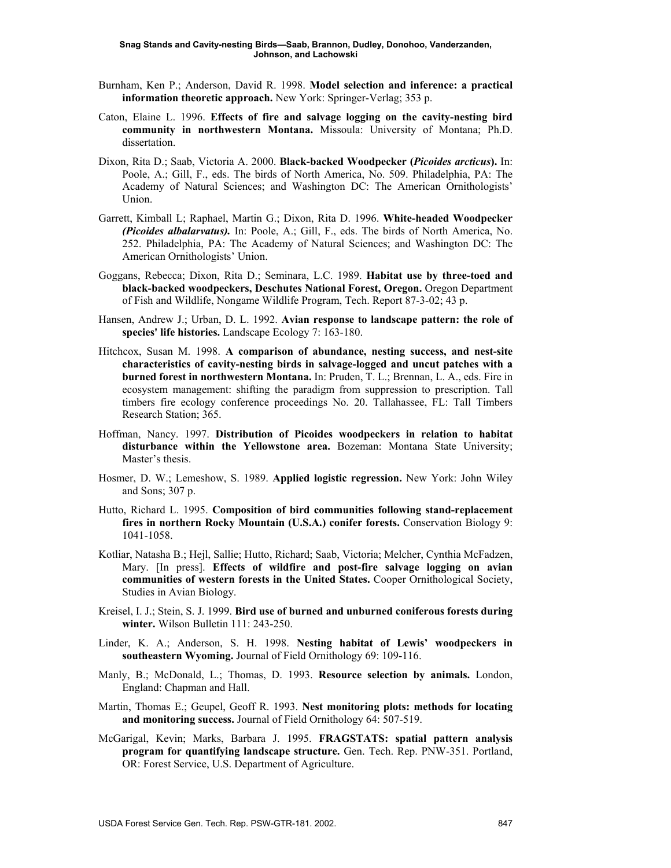- Burnham, Ken P.; Anderson, David R. 1998. **Model selection and inference: a practical information theoretic approach.** New York: Springer-Verlag; 353 p.
- Caton, Elaine L. 1996. **Effects of fire and salvage logging on the cavity-nesting bird community in northwestern Montana.** Missoula: University of Montana; Ph.D. dissertation.
- Dixon, Rita D.; Saab, Victoria A. 2000. **Black-backed Woodpecker (***Picoides arcticus***).** In: Poole, A.; Gill, F., eds. The birds of North America, No. 509. Philadelphia, PA: The Academy of Natural Sciences; and Washington DC: The American Ornithologists' Union.
- Garrett, Kimball L; Raphael, Martin G.; Dixon, Rita D. 1996. **White-headed Woodpecker**  *(Picoides albalarvatus).* In: Poole, A.; Gill, F., eds. The birds of North America, No. 252. Philadelphia, PA: The Academy of Natural Sciences; and Washington DC: The American Ornithologists' Union.
- Goggans, Rebecca; Dixon, Rita D.; Seminara, L.C. 1989. **Habitat use by three-toed and black-backed woodpeckers, Deschutes National Forest, Oregon.** Oregon Department of Fish and Wildlife, Nongame Wildlife Program, Tech. Report 87-3-02; 43 p.
- Hansen, Andrew J.; Urban, D. L. 1992. **Avian response to landscape pattern: the role of species' life histories.** Landscape Ecology 7: 163-180.
- Hitchcox, Susan M. 1998. **A comparison of abundance, nesting success, and nest-site characteristics of cavity-nesting birds in salvage-logged and uncut patches with a burned forest in northwestern Montana.** In: Pruden, T. L.; Brennan, L. A., eds. Fire in ecosystem management: shifting the paradigm from suppression to prescription. Tall timbers fire ecology conference proceedings No. 20. Tallahassee, FL: Tall Timbers Research Station; 365.
- Hoffman, Nancy. 1997. **Distribution of Picoides woodpeckers in relation to habitat disturbance within the Yellowstone area.** Bozeman: Montana State University; Master's thesis.
- Hosmer, D. W.; Lemeshow, S. 1989. **Applied logistic regression.** New York: John Wiley and Sons; 307 p.
- Hutto, Richard L. 1995. **Composition of bird communities following stand-replacement fires in northern Rocky Mountain (U.S.A.) conifer forests.** Conservation Biology 9: 1041-1058.
- Kotliar, Natasha B.; Hejl, Sallie; Hutto, Richard; Saab, Victoria; Melcher, Cynthia McFadzen, Mary. [In press]. **Effects of wildfire and post-fire salvage logging on avian communities of western forests in the United States.** Cooper Ornithological Society, Studies in Avian Biology.
- Kreisel, I. J.; Stein, S. J. 1999. **Bird use of burned and unburned coniferous forests during winter.** Wilson Bulletin 111: 243-250.
- Linder, K. A.; Anderson, S. H. 1998. **Nesting habitat of Lewis' woodpeckers in southeastern Wyoming.** Journal of Field Ornithology 69: 109-116.
- Manly, B.; McDonald, L.; Thomas, D. 1993. **Resource selection by animals.** London, England: Chapman and Hall.
- Martin, Thomas E.; Geupel, Geoff R. 1993. **Nest monitoring plots: methods for locating and monitoring success.** Journal of Field Ornithology 64: 507-519.
- McGarigal, Kevin; Marks, Barbara J. 1995. **FRAGSTATS: spatial pattern analysis program for quantifying landscape structure.** Gen. Tech. Rep. PNW-351. Portland, OR: Forest Service, U.S. Department of Agriculture.